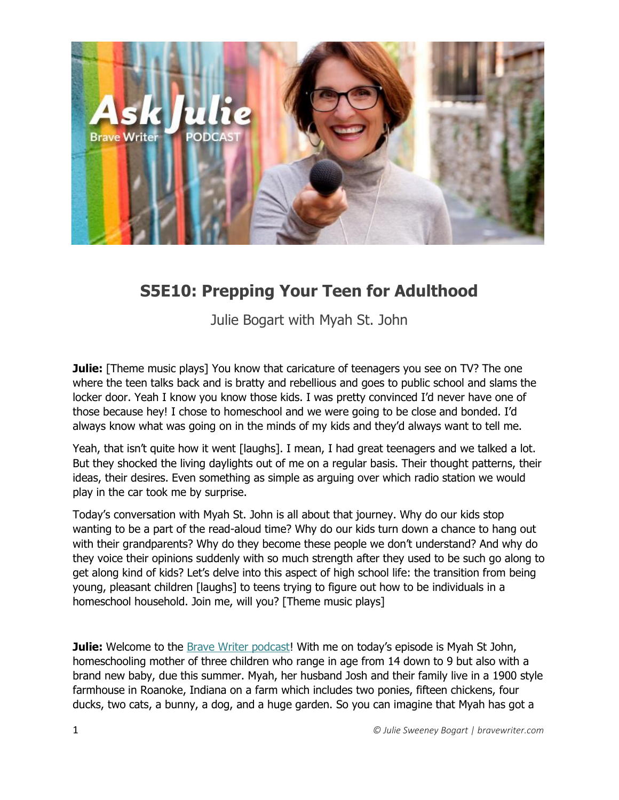

# **S5E10: Prepping Your Teen for Adulthood**

Julie Bogart with Myah St. John

**Julie:** [Theme music plays] You know that caricature of teenagers you see on TV? The one where the teen talks back and is bratty and rebellious and goes to public school and slams the locker door. Yeah I know you know those kids. I was pretty convinced I'd never have one of those because hey! I chose to homeschool and we were going to be close and bonded. I'd always know what was going on in the minds of my kids and they'd always want to tell me.

Yeah, that isn't quite how it went [laughs]. I mean, I had great teenagers and we talked a lot. But they shocked the living daylights out of me on a regular basis. Their thought patterns, their ideas, their desires. Even something as simple as arguing over which radio station we would play in the car took me by surprise.

Today's conversation with Myah St. John is all about that journey. Why do our kids stop wanting to be a part of the read-aloud time? Why do our kids turn down a chance to hang out with their grandparents? Why do they become these people we don't understand? And why do they voice their opinions suddenly with so much strength after they used to be such go along to get along kind of kids? Let's delve into this aspect of high school life: the transition from being young, pleasant children [laughs] to teens trying to figure out how to be individuals in a homeschool household. Join me, will you? [Theme music plays]

**Julie:** Welcome to the [Brave Writer podcast](http://blog.bravewriter.com/category/podcasts/)! With me on today's episode is Myah St John, homeschooling mother of three children who range in age from 14 down to 9 but also with a brand new baby, due this summer. Myah, her husband Josh and their family live in a 1900 style farmhouse in Roanoke, Indiana on a farm which includes two ponies, fifteen chickens, four ducks, two cats, a bunny, a dog, and a huge garden. So you can imagine that Myah has got a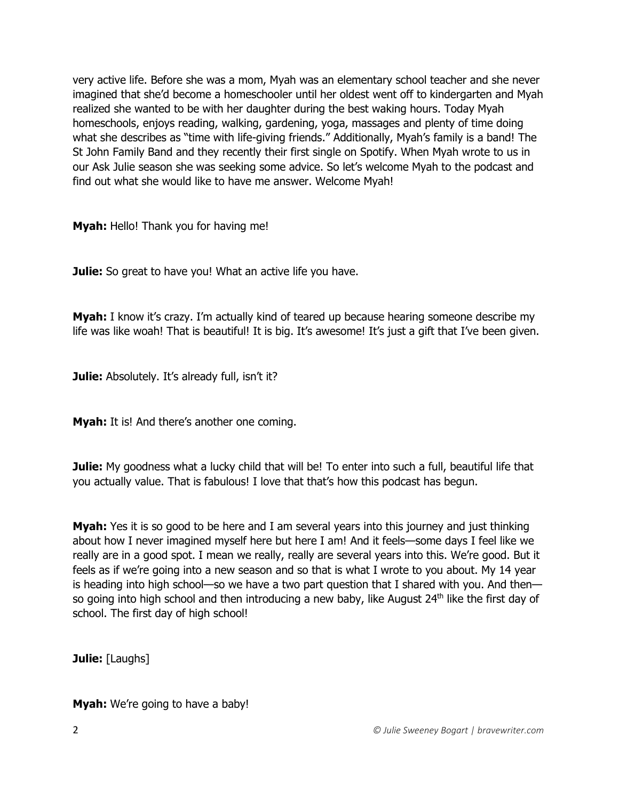very active life. Before she was a mom, Myah was an elementary school teacher and she never imagined that she'd become a homeschooler until her oldest went off to kindergarten and Myah realized she wanted to be with her daughter during the best waking hours. Today Myah homeschools, enjoys reading, walking, gardening, yoga, massages and plenty of time doing what she describes as "time with life-giving friends." Additionally, Myah's family is a band! The St John Family Band and they recently their first single on Spotify. When Myah wrote to us in our Ask Julie season she was seeking some advice. So let's welcome Myah to the podcast and find out what she would like to have me answer. Welcome Myah!

**Myah:** Hello! Thank you for having me!

**Julie:** So great to have you! What an active life you have.

**Myah:** I know it's crazy. I'm actually kind of teared up because hearing someone describe my life was like woah! That is beautiful! It is big. It's awesome! It's just a gift that I've been given.

**Julie:** Absolutely. It's already full, isn't it?

**Myah:** It is! And there's another one coming.

**Julie:** My goodness what a lucky child that will be! To enter into such a full, beautiful life that you actually value. That is fabulous! I love that that's how this podcast has begun.

**Myah:** Yes it is so good to be here and I am several years into this journey and just thinking about how I never imagined myself here but here I am! And it feels—some days I feel like we really are in a good spot. I mean we really, really are several years into this. We're good. But it feels as if we're going into a new season and so that is what I wrote to you about. My 14 year is heading into high school—so we have a two part question that I shared with you. And then so going into high school and then introducing a new baby, like August 24<sup>th</sup> like the first day of school. The first day of high school!

**Julie:** [Laughs]

**Myah:** We're going to have a baby!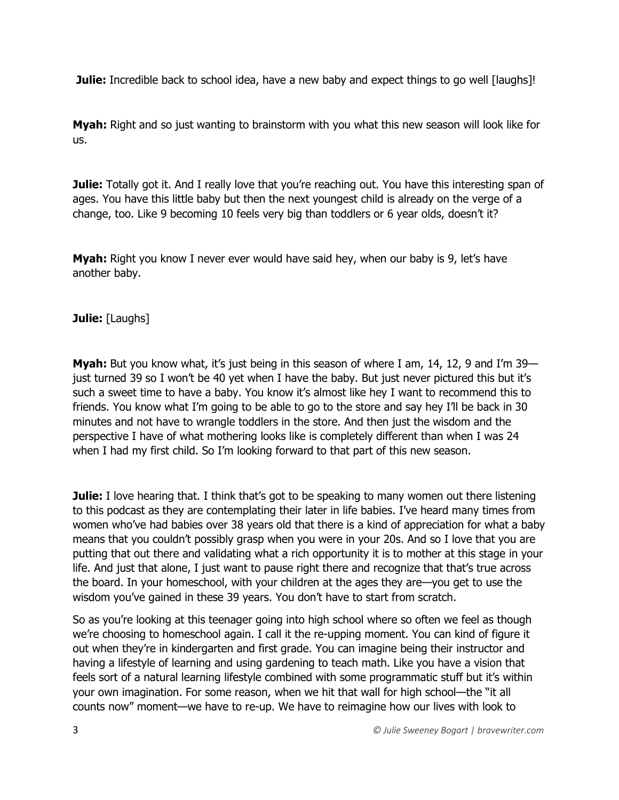**Julie:** Incredible back to school idea, have a new baby and expect things to go well [laughs]!

**Myah:** Right and so just wanting to brainstorm with you what this new season will look like for us.

**Julie:** Totally got it. And I really love that you're reaching out. You have this interesting span of ages. You have this little baby but then the next youngest child is already on the verge of a change, too. Like 9 becoming 10 feels very big than toddlers or 6 year olds, doesn't it?

**Myah:** Right you know I never ever would have said hey, when our baby is 9, let's have another baby.

## **Julie:** [Laughs]

**Myah:** But you know what, it's just being in this season of where I am, 14, 12, 9 and I'm 39 just turned 39 so I won't be 40 yet when I have the baby. But just never pictured this but it's such a sweet time to have a baby. You know it's almost like hey I want to recommend this to friends. You know what I'm going to be able to go to the store and say hey I'll be back in 30 minutes and not have to wrangle toddlers in the store. And then just the wisdom and the perspective I have of what mothering looks like is completely different than when I was 24 when I had my first child. So I'm looking forward to that part of this new season.

**Julie:** I love hearing that. I think that's got to be speaking to many women out there listening to this podcast as they are contemplating their later in life babies. I've heard many times from women who've had babies over 38 years old that there is a kind of appreciation for what a baby means that you couldn't possibly grasp when you were in your 20s. And so I love that you are putting that out there and validating what a rich opportunity it is to mother at this stage in your life. And just that alone, I just want to pause right there and recognize that that's true across the board. In your homeschool, with your children at the ages they are—you get to use the wisdom you've gained in these 39 years. You don't have to start from scratch.

So as you're looking at this teenager going into high school where so often we feel as though we're choosing to homeschool again. I call it the re-upping moment. You can kind of figure it out when they're in kindergarten and first grade. You can imagine being their instructor and having a lifestyle of learning and using gardening to teach math. Like you have a vision that feels sort of a natural learning lifestyle combined with some programmatic stuff but it's within your own imagination. For some reason, when we hit that wall for high school—the "it all counts now" moment—we have to re-up. We have to reimagine how our lives with look to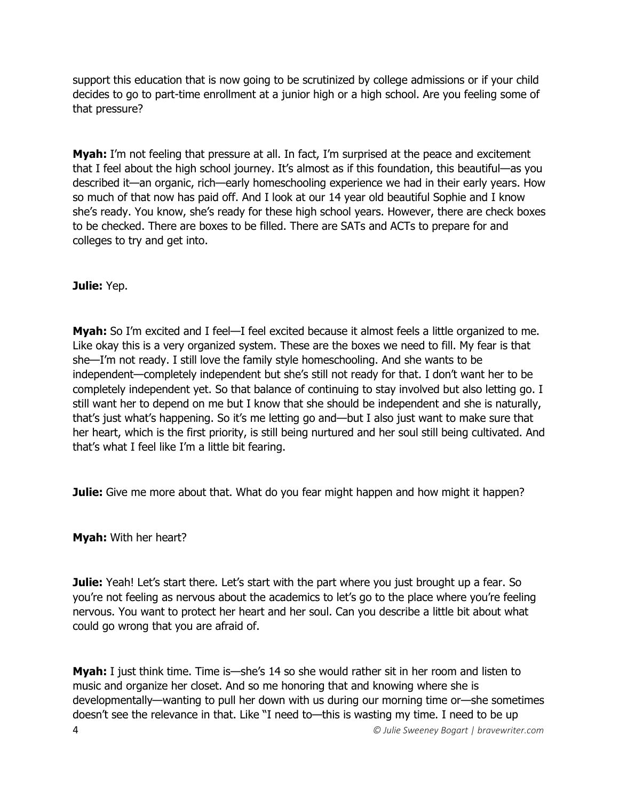support this education that is now going to be scrutinized by college admissions or if your child decides to go to part-time enrollment at a junior high or a high school. Are you feeling some of that pressure?

**Myah:** I'm not feeling that pressure at all. In fact, I'm surprised at the peace and excitement that I feel about the high school journey. It's almost as if this foundation, this beautiful—as you described it—an organic, rich—early homeschooling experience we had in their early years. How so much of that now has paid off. And I look at our 14 year old beautiful Sophie and I know she's ready. You know, she's ready for these high school years. However, there are check boxes to be checked. There are boxes to be filled. There are SATs and ACTs to prepare for and colleges to try and get into.

## **Julie:** Yep.

**Myah:** So I'm excited and I feel—I feel excited because it almost feels a little organized to me. Like okay this is a very organized system. These are the boxes we need to fill. My fear is that she—I'm not ready. I still love the family style homeschooling. And she wants to be independent—completely independent but she's still not ready for that. I don't want her to be completely independent yet. So that balance of continuing to stay involved but also letting go. I still want her to depend on me but I know that she should be independent and she is naturally, that's just what's happening. So it's me letting go and—but I also just want to make sure that her heart, which is the first priority, is still being nurtured and her soul still being cultivated. And that's what I feel like I'm a little bit fearing.

**Julie:** Give me more about that. What do you fear might happen and how might it happen?

**Myah:** With her heart?

**Julie:** Yeah! Let's start there. Let's start with the part where you just brought up a fear. So you're not feeling as nervous about the academics to let's go to the place where you're feeling nervous. You want to protect her heart and her soul. Can you describe a little bit about what could go wrong that you are afraid of.

4 *© Julie Sweeney Bogart | bravewriter.com* **Myah:** I just think time. Time is—she's 14 so she would rather sit in her room and listen to music and organize her closet. And so me honoring that and knowing where she is developmentally—wanting to pull her down with us during our morning time or—she sometimes doesn't see the relevance in that. Like "I need to—this is wasting my time. I need to be up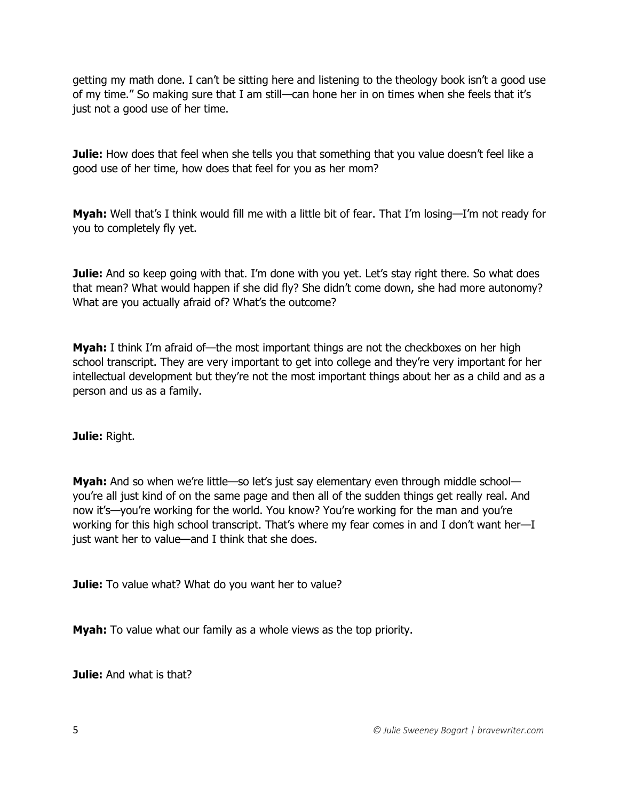getting my math done. I can't be sitting here and listening to the theology book isn't a good use of my time." So making sure that I am still—can hone her in on times when she feels that it's just not a good use of her time.

**Julie:** How does that feel when she tells you that something that you value doesn't feel like a good use of her time, how does that feel for you as her mom?

**Myah:** Well that's I think would fill me with a little bit of fear. That I'm losing—I'm not ready for you to completely fly yet.

**Julie:** And so keep going with that. I'm done with you yet. Let's stay right there. So what does that mean? What would happen if she did fly? She didn't come down, she had more autonomy? What are you actually afraid of? What's the outcome?

**Myah:** I think I'm afraid of—the most important things are not the checkboxes on her high school transcript. They are very important to get into college and they're very important for her intellectual development but they're not the most important things about her as a child and as a person and us as a family.

**Julie:** Right.

**Myah:** And so when we're little—so let's just say elementary even through middle school you're all just kind of on the same page and then all of the sudden things get really real. And now it's—you're working for the world. You know? You're working for the man and you're working for this high school transcript. That's where my fear comes in and I don't want her—I just want her to value—and I think that she does.

**Julie:** To value what? What do you want her to value?

**Myah:** To value what our family as a whole views as the top priority.

**Julie:** And what is that?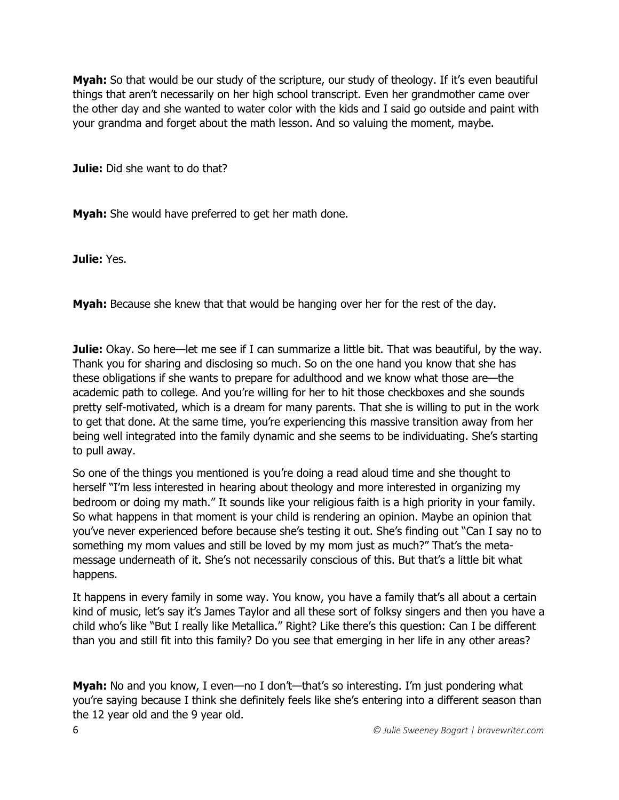**Myah:** So that would be our study of the scripture, our study of theology. If it's even beautiful things that aren't necessarily on her high school transcript. Even her grandmother came over the other day and she wanted to water color with the kids and I said go outside and paint with your grandma and forget about the math lesson. And so valuing the moment, maybe.

**Julie:** Did she want to do that?

**Myah:** She would have preferred to get her math done.

**Julie:** Yes.

**Myah:** Because she knew that that would be hanging over her for the rest of the day.

**Julie:** Okay. So here—let me see if I can summarize a little bit. That was beautiful, by the way. Thank you for sharing and disclosing so much. So on the one hand you know that she has these obligations if she wants to prepare for adulthood and we know what those are—the academic path to college. And you're willing for her to hit those checkboxes and she sounds pretty self-motivated, which is a dream for many parents. That she is willing to put in the work to get that done. At the same time, you're experiencing this massive transition away from her being well integrated into the family dynamic and she seems to be individuating. She's starting to pull away.

So one of the things you mentioned is you're doing a read aloud time and she thought to herself "I'm less interested in hearing about theology and more interested in organizing my bedroom or doing my math." It sounds like your religious faith is a high priority in your family. So what happens in that moment is your child is rendering an opinion. Maybe an opinion that you've never experienced before because she's testing it out. She's finding out "Can I say no to something my mom values and still be loved by my mom just as much?" That's the metamessage underneath of it. She's not necessarily conscious of this. But that's a little bit what happens.

It happens in every family in some way. You know, you have a family that's all about a certain kind of music, let's say it's James Taylor and all these sort of folksy singers and then you have a child who's like "But I really like Metallica." Right? Like there's this question: Can I be different than you and still fit into this family? Do you see that emerging in her life in any other areas?

Myah: No and you know, I even-no I don't-that's so interesting. I'm just pondering what you're saying because I think she definitely feels like she's entering into a different season than the 12 year old and the 9 year old.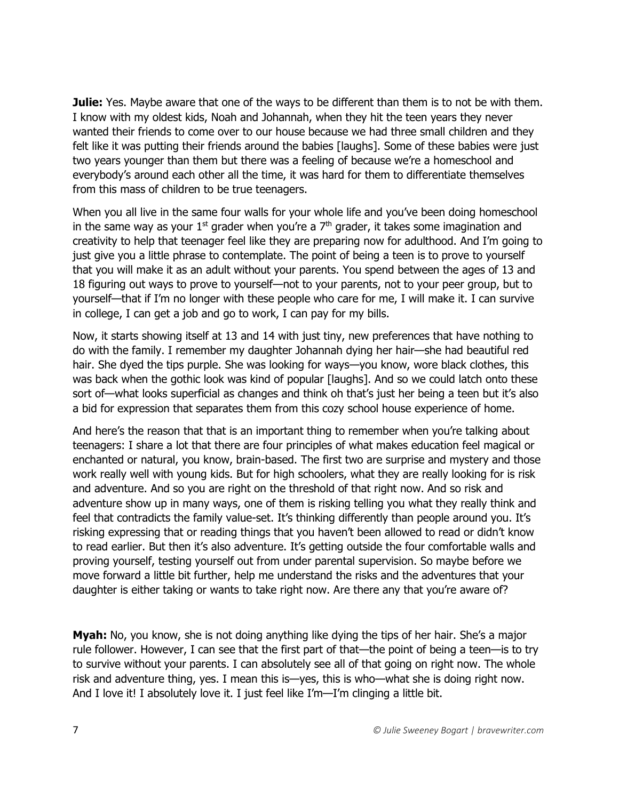**Julie:** Yes. Maybe aware that one of the ways to be different than them is to not be with them. I know with my oldest kids, Noah and Johannah, when they hit the teen years they never wanted their friends to come over to our house because we had three small children and they felt like it was putting their friends around the babies [laughs]. Some of these babies were just two years younger than them but there was a feeling of because we're a homeschool and everybody's around each other all the time, it was hard for them to differentiate themselves from this mass of children to be true teenagers.

When you all live in the same four walls for your whole life and you've been doing homeschool in the same way as your  $1<sup>st</sup>$  grader when you're a  $7<sup>th</sup>$  grader, it takes some imagination and creativity to help that teenager feel like they are preparing now for adulthood. And I'm going to just give you a little phrase to contemplate. The point of being a teen is to prove to yourself that you will make it as an adult without your parents. You spend between the ages of 13 and 18 figuring out ways to prove to yourself—not to your parents, not to your peer group, but to yourself—that if I'm no longer with these people who care for me, I will make it. I can survive in college, I can get a job and go to work, I can pay for my bills.

Now, it starts showing itself at 13 and 14 with just tiny, new preferences that have nothing to do with the family. I remember my daughter Johannah dying her hair—she had beautiful red hair. She dyed the tips purple. She was looking for ways—you know, wore black clothes, this was back when the gothic look was kind of popular [laughs]. And so we could latch onto these sort of—what looks superficial as changes and think oh that's just her being a teen but it's also a bid for expression that separates them from this cozy school house experience of home.

And here's the reason that that is an important thing to remember when you're talking about teenagers: I share a lot that there are four principles of what makes education feel magical or enchanted or natural, you know, brain-based. The first two are surprise and mystery and those work really well with young kids. But for high schoolers, what they are really looking for is risk and adventure. And so you are right on the threshold of that right now. And so risk and adventure show up in many ways, one of them is risking telling you what they really think and feel that contradicts the family value-set. It's thinking differently than people around you. It's risking expressing that or reading things that you haven't been allowed to read or didn't know to read earlier. But then it's also adventure. It's getting outside the four comfortable walls and proving yourself, testing yourself out from under parental supervision. So maybe before we move forward a little bit further, help me understand the risks and the adventures that your daughter is either taking or wants to take right now. Are there any that you're aware of?

**Myah:** No, you know, she is not doing anything like dying the tips of her hair. She's a major rule follower. However, I can see that the first part of that—the point of being a teen—is to try to survive without your parents. I can absolutely see all of that going on right now. The whole risk and adventure thing, yes. I mean this is—yes, this is who—what she is doing right now. And I love it! I absolutely love it. I just feel like I'm—I'm clinging a little bit.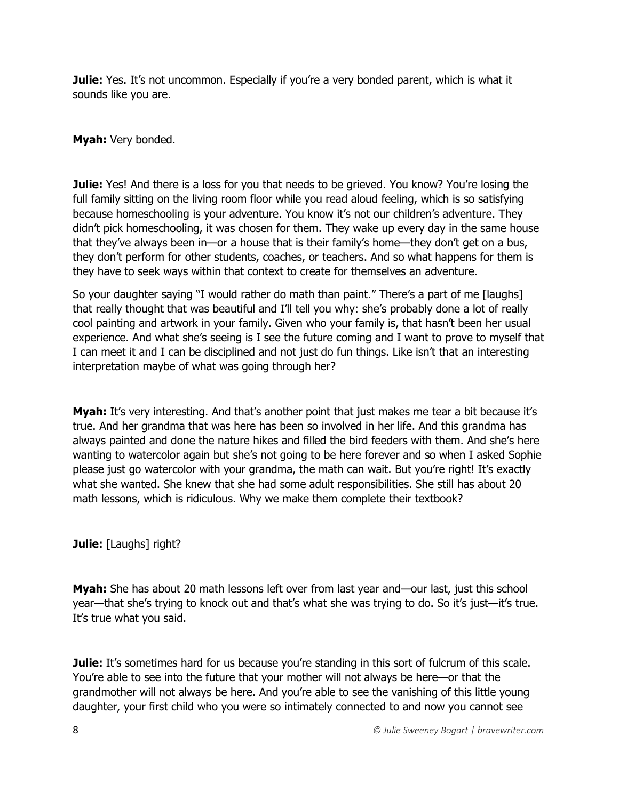**Julie:** Yes. It's not uncommon. Especially if you're a very bonded parent, which is what it sounds like you are.

**Myah:** Very bonded.

**Julie:** Yes! And there is a loss for you that needs to be grieved. You know? You're losing the full family sitting on the living room floor while you read aloud feeling, which is so satisfying because homeschooling is your adventure. You know it's not our children's adventure. They didn't pick homeschooling, it was chosen for them. They wake up every day in the same house that they've always been in—or a house that is their family's home—they don't get on a bus, they don't perform for other students, coaches, or teachers. And so what happens for them is they have to seek ways within that context to create for themselves an adventure.

So your daughter saying "I would rather do math than paint." There's a part of me [laughs] that really thought that was beautiful and I'll tell you why: she's probably done a lot of really cool painting and artwork in your family. Given who your family is, that hasn't been her usual experience. And what she's seeing is I see the future coming and I want to prove to myself that I can meet it and I can be disciplined and not just do fun things. Like isn't that an interesting interpretation maybe of what was going through her?

**Myah:** It's very interesting. And that's another point that just makes me tear a bit because it's true. And her grandma that was here has been so involved in her life. And this grandma has always painted and done the nature hikes and filled the bird feeders with them. And she's here wanting to watercolor again but she's not going to be here forever and so when I asked Sophie please just go watercolor with your grandma, the math can wait. But you're right! It's exactly what she wanted. She knew that she had some adult responsibilities. She still has about 20 math lessons, which is ridiculous. Why we make them complete their textbook?

**Julie:** [Laughs] right?

**Myah:** She has about 20 math lessons left over from last year and—our last, just this school year—that she's trying to knock out and that's what she was trying to do. So it's just—it's true. It's true what you said.

**Julie:** It's sometimes hard for us because you're standing in this sort of fulcrum of this scale. You're able to see into the future that your mother will not always be here—or that the grandmother will not always be here. And you're able to see the vanishing of this little young daughter, your first child who you were so intimately connected to and now you cannot see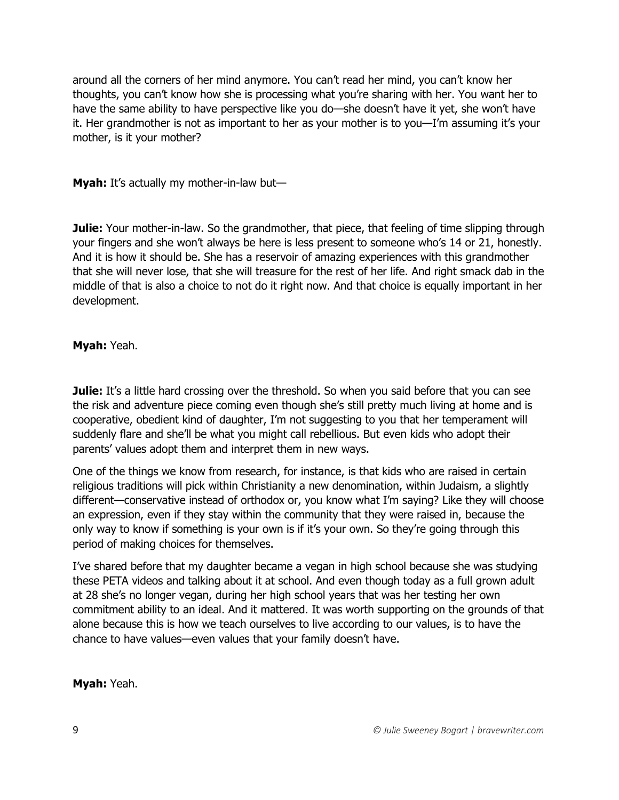around all the corners of her mind anymore. You can't read her mind, you can't know her thoughts, you can't know how she is processing what you're sharing with her. You want her to have the same ability to have perspective like you do—she doesn't have it yet, she won't have it. Her grandmother is not as important to her as your mother is to you—I'm assuming it's your mother, is it your mother?

**Myah:** It's actually my mother-in-law but—

**Julie:** Your mother-in-law. So the grandmother, that piece, that feeling of time slipping through your fingers and she won't always be here is less present to someone who's 14 or 21, honestly. And it is how it should be. She has a reservoir of amazing experiences with this grandmother that she will never lose, that she will treasure for the rest of her life. And right smack dab in the middle of that is also a choice to not do it right now. And that choice is equally important in her development.

**Myah:** Yeah.

**Julie:** It's a little hard crossing over the threshold. So when you said before that you can see the risk and adventure piece coming even though she's still pretty much living at home and is cooperative, obedient kind of daughter, I'm not suggesting to you that her temperament will suddenly flare and she'll be what you might call rebellious. But even kids who adopt their parents' values adopt them and interpret them in new ways.

One of the things we know from research, for instance, is that kids who are raised in certain religious traditions will pick within Christianity a new denomination, within Judaism, a slightly different—conservative instead of orthodox or, you know what I'm saying? Like they will choose an expression, even if they stay within the community that they were raised in, because the only way to know if something is your own is if it's your own. So they're going through this period of making choices for themselves.

I've shared before that my daughter became a vegan in high school because she was studying these PETA videos and talking about it at school. And even though today as a full grown adult at 28 she's no longer vegan, during her high school years that was her testing her own commitment ability to an ideal. And it mattered. It was worth supporting on the grounds of that alone because this is how we teach ourselves to live according to our values, is to have the chance to have values—even values that your family doesn't have.

**Myah:** Yeah.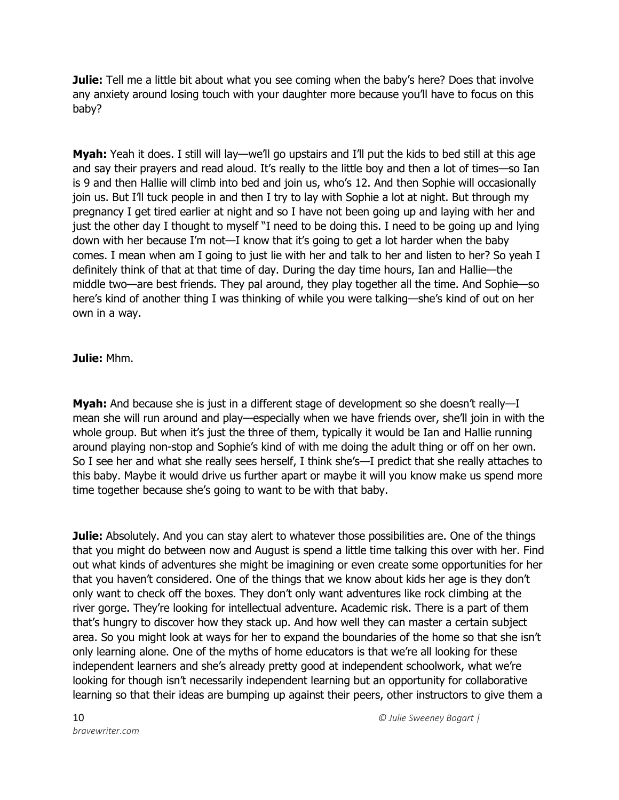**Julie:** Tell me a little bit about what you see coming when the baby's here? Does that involve any anxiety around losing touch with your daughter more because you'll have to focus on this baby?

**Myah:** Yeah it does. I still will lay—we'll go upstairs and I'll put the kids to bed still at this age and say their prayers and read aloud. It's really to the little boy and then a lot of times—so Ian is 9 and then Hallie will climb into bed and join us, who's 12. And then Sophie will occasionally join us. But I'll tuck people in and then I try to lay with Sophie a lot at night. But through my pregnancy I get tired earlier at night and so I have not been going up and laying with her and just the other day I thought to myself "I need to be doing this. I need to be going up and lying down with her because I'm not—I know that it's going to get a lot harder when the baby comes. I mean when am I going to just lie with her and talk to her and listen to her? So yeah I definitely think of that at that time of day. During the day time hours, Ian and Hallie—the middle two—are best friends. They pal around, they play together all the time. And Sophie—so here's kind of another thing I was thinking of while you were talking—she's kind of out on her own in a way.

#### **Julie:** Mhm.

**Myah:** And because she is just in a different stage of development so she doesn't really—I mean she will run around and play—especially when we have friends over, she'll join in with the whole group. But when it's just the three of them, typically it would be Ian and Hallie running around playing non-stop and Sophie's kind of with me doing the adult thing or off on her own. So I see her and what she really sees herself, I think she's—I predict that she really attaches to this baby. Maybe it would drive us further apart or maybe it will you know make us spend more time together because she's going to want to be with that baby.

**Julie:** Absolutely. And you can stay alert to whatever those possibilities are. One of the things that you might do between now and August is spend a little time talking this over with her. Find out what kinds of adventures she might be imagining or even create some opportunities for her that you haven't considered. One of the things that we know about kids her age is they don't only want to check off the boxes. They don't only want adventures like rock climbing at the river gorge. They're looking for intellectual adventure. Academic risk. There is a part of them that's hungry to discover how they stack up. And how well they can master a certain subject area. So you might look at ways for her to expand the boundaries of the home so that she isn't only learning alone. One of the myths of home educators is that we're all looking for these independent learners and she's already pretty good at independent schoolwork, what we're looking for though isn't necessarily independent learning but an opportunity for collaborative learning so that their ideas are bumping up against their peers, other instructors to give them a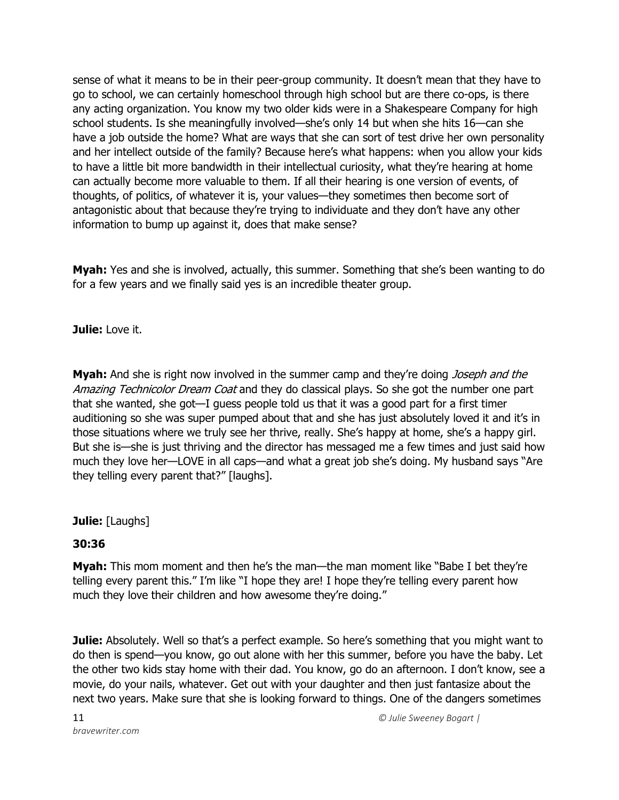sense of what it means to be in their peer-group community. It doesn't mean that they have to go to school, we can certainly homeschool through high school but are there co-ops, is there any acting organization. You know my two older kids were in a Shakespeare Company for high school students. Is she meaningfully involved—she's only 14 but when she hits 16—can she have a job outside the home? What are ways that she can sort of test drive her own personality and her intellect outside of the family? Because here's what happens: when you allow your kids to have a little bit more bandwidth in their intellectual curiosity, what they're hearing at home can actually become more valuable to them. If all their hearing is one version of events, of thoughts, of politics, of whatever it is, your values—they sometimes then become sort of antagonistic about that because they're trying to individuate and they don't have any other information to bump up against it, does that make sense?

**Myah:** Yes and she is involved, actually, this summer. Something that she's been wanting to do for a few years and we finally said yes is an incredible theater group.

**Julie:** Love it.

**Myah:** And she is right now involved in the summer camp and they're doing *Joseph and the* Amazing Technicolor Dream Coat and they do classical plays. So she got the number one part that she wanted, she got—I guess people told us that it was a good part for a first timer auditioning so she was super pumped about that and she has just absolutely loved it and it's in those situations where we truly see her thrive, really. She's happy at home, she's a happy girl. But she is—she is just thriving and the director has messaged me a few times and just said how much they love her—LOVE in all caps—and what a great job she's doing. My husband says "Are they telling every parent that?" [laughs].

**Julie:** [Laughs]

# **30:36**

**Myah:** This mom moment and then he's the man—the man moment like "Babe I bet they're telling every parent this." I'm like "I hope they are! I hope they're telling every parent how much they love their children and how awesome they're doing."

**Julie:** Absolutely. Well so that's a perfect example. So here's something that you might want to do then is spend—you know, go out alone with her this summer, before you have the baby. Let the other two kids stay home with their dad. You know, go do an afternoon. I don't know, see a movie, do your nails, whatever. Get out with your daughter and then just fantasize about the next two years. Make sure that she is looking forward to things. One of the dangers sometimes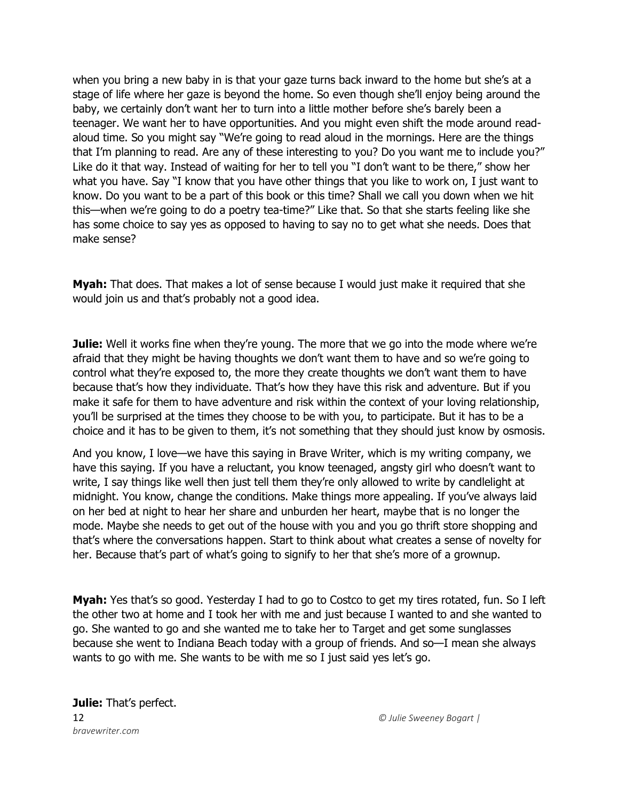when you bring a new baby in is that your gaze turns back inward to the home but she's at a stage of life where her gaze is beyond the home. So even though she'll enjoy being around the baby, we certainly don't want her to turn into a little mother before she's barely been a teenager. We want her to have opportunities. And you might even shift the mode around readaloud time. So you might say "We're going to read aloud in the mornings. Here are the things that I'm planning to read. Are any of these interesting to you? Do you want me to include you?" Like do it that way. Instead of waiting for her to tell you "I don't want to be there," show her what you have. Say "I know that you have other things that you like to work on, I just want to know. Do you want to be a part of this book or this time? Shall we call you down when we hit this—when we're going to do a poetry tea-time?" Like that. So that she starts feeling like she has some choice to say yes as opposed to having to say no to get what she needs. Does that make sense?

**Myah:** That does. That makes a lot of sense because I would just make it required that she would join us and that's probably not a good idea.

**Julie:** Well it works fine when they're young. The more that we go into the mode where we're afraid that they might be having thoughts we don't want them to have and so we're going to control what they're exposed to, the more they create thoughts we don't want them to have because that's how they individuate. That's how they have this risk and adventure. But if you make it safe for them to have adventure and risk within the context of your loving relationship, you'll be surprised at the times they choose to be with you, to participate. But it has to be a choice and it has to be given to them, it's not something that they should just know by osmosis.

And you know, I love—we have this saying in Brave Writer, which is my writing company, we have this saying. If you have a reluctant, you know teenaged, angsty girl who doesn't want to write, I say things like well then just tell them they're only allowed to write by candlelight at midnight. You know, change the conditions. Make things more appealing. If you've always laid on her bed at night to hear her share and unburden her heart, maybe that is no longer the mode. Maybe she needs to get out of the house with you and you go thrift store shopping and that's where the conversations happen. Start to think about what creates a sense of novelty for her. Because that's part of what's going to signify to her that she's more of a grownup.

**Myah:** Yes that's so good. Yesterday I had to go to Costco to get my tires rotated, fun. So I left the other two at home and I took her with me and just because I wanted to and she wanted to go. She wanted to go and she wanted me to take her to Target and get some sunglasses because she went to Indiana Beach today with a group of friends. And so—I mean she always wants to go with me. She wants to be with me so I just said yes let's go.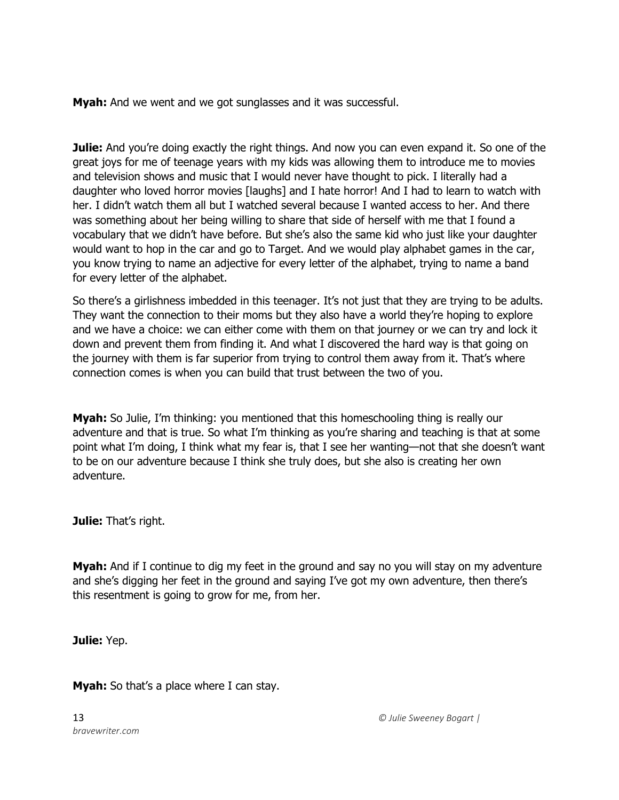**Myah:** And we went and we got sunglasses and it was successful.

**Julie:** And you're doing exactly the right things. And now you can even expand it. So one of the great joys for me of teenage years with my kids was allowing them to introduce me to movies and television shows and music that I would never have thought to pick. I literally had a daughter who loved horror movies [laughs] and I hate horror! And I had to learn to watch with her. I didn't watch them all but I watched several because I wanted access to her. And there was something about her being willing to share that side of herself with me that I found a vocabulary that we didn't have before. But she's also the same kid who just like your daughter would want to hop in the car and go to Target. And we would play alphabet games in the car, you know trying to name an adjective for every letter of the alphabet, trying to name a band for every letter of the alphabet.

So there's a girlishness imbedded in this teenager. It's not just that they are trying to be adults. They want the connection to their moms but they also have a world they're hoping to explore and we have a choice: we can either come with them on that journey or we can try and lock it down and prevent them from finding it. And what I discovered the hard way is that going on the journey with them is far superior from trying to control them away from it. That's where connection comes is when you can build that trust between the two of you.

**Myah:** So Julie, I'm thinking: you mentioned that this homeschooling thing is really our adventure and that is true. So what I'm thinking as you're sharing and teaching is that at some point what I'm doing, I think what my fear is, that I see her wanting—not that she doesn't want to be on our adventure because I think she truly does, but she also is creating her own adventure.

**Julie:** That's right.

**Myah:** And if I continue to dig my feet in the ground and say no you will stay on my adventure and she's digging her feet in the ground and saying I've got my own adventure, then there's this resentment is going to grow for me, from her.

**Julie:** Yep.

**Myah:** So that's a place where I can stay.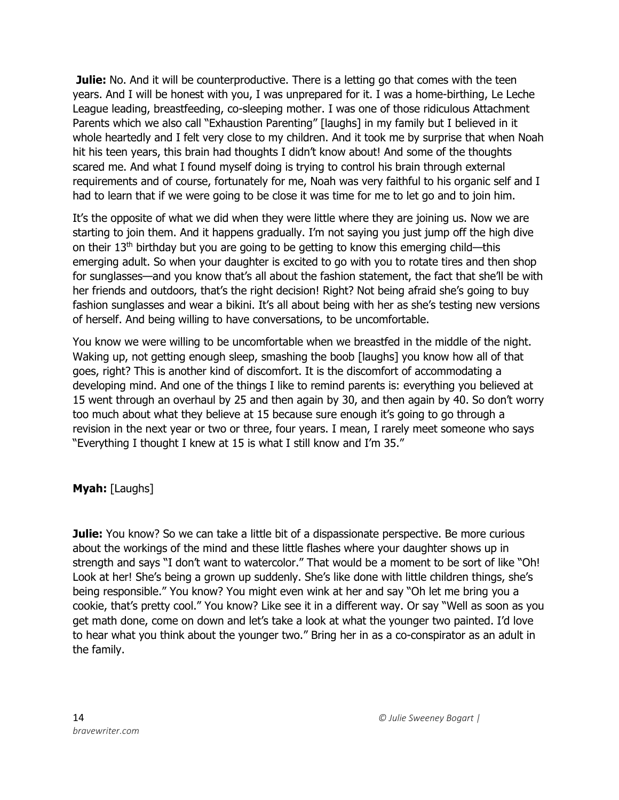**Julie:** No. And it will be counterproductive. There is a letting go that comes with the teen years. And I will be honest with you, I was unprepared for it. I was a home-birthing, Le Leche League leading, breastfeeding, co-sleeping mother. I was one of those ridiculous Attachment Parents which we also call "Exhaustion Parenting" [laughs] in my family but I believed in it whole heartedly and I felt very close to my children. And it took me by surprise that when Noah hit his teen years, this brain had thoughts I didn't know about! And some of the thoughts scared me. And what I found myself doing is trying to control his brain through external requirements and of course, fortunately for me, Noah was very faithful to his organic self and I had to learn that if we were going to be close it was time for me to let go and to join him.

It's the opposite of what we did when they were little where they are joining us. Now we are starting to join them. And it happens gradually. I'm not saying you just jump off the high dive on their  $13<sup>th</sup>$  birthday but you are going to be getting to know this emerging child—this emerging adult. So when your daughter is excited to go with you to rotate tires and then shop for sunglasses—and you know that's all about the fashion statement, the fact that she'll be with her friends and outdoors, that's the right decision! Right? Not being afraid she's going to buy fashion sunglasses and wear a bikini. It's all about being with her as she's testing new versions of herself. And being willing to have conversations, to be uncomfortable.

You know we were willing to be uncomfortable when we breastfed in the middle of the night. Waking up, not getting enough sleep, smashing the boob [laughs] you know how all of that goes, right? This is another kind of discomfort. It is the discomfort of accommodating a developing mind. And one of the things I like to remind parents is: everything you believed at 15 went through an overhaul by 25 and then again by 30, and then again by 40. So don't worry too much about what they believe at 15 because sure enough it's going to go through a revision in the next year or two or three, four years. I mean, I rarely meet someone who says "Everything I thought I knew at 15 is what I still know and I'm 35."

**Myah:** [Laughs]

**Julie:** You know? So we can take a little bit of a dispassionate perspective. Be more curious about the workings of the mind and these little flashes where your daughter shows up in strength and says "I don't want to watercolor." That would be a moment to be sort of like "Oh! Look at her! She's being a grown up suddenly. She's like done with little children things, she's being responsible." You know? You might even wink at her and say "Oh let me bring you a cookie, that's pretty cool." You know? Like see it in a different way. Or say "Well as soon as you get math done, come on down and let's take a look at what the younger two painted. I'd love to hear what you think about the younger two." Bring her in as a co-conspirator as an adult in the family.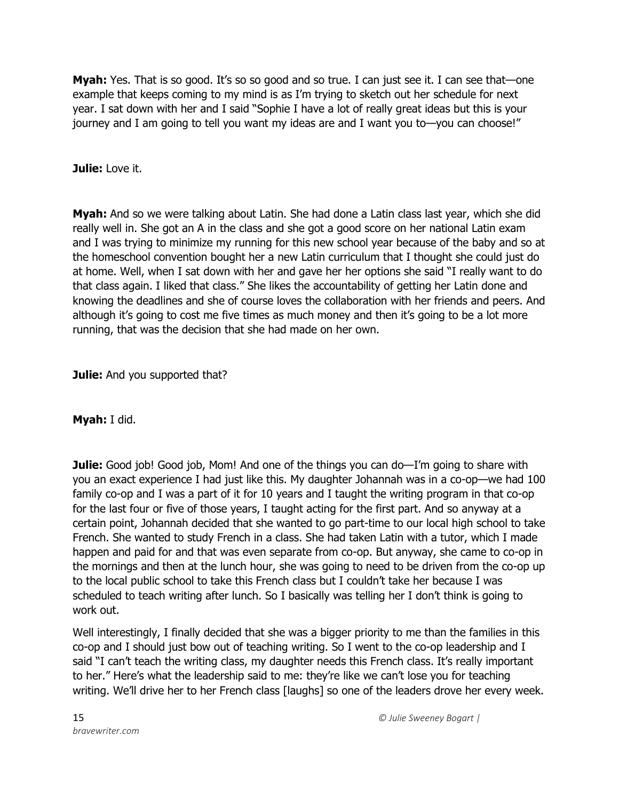**Myah:** Yes. That is so good. It's so so good and so true. I can just see it. I can see that—one example that keeps coming to my mind is as I'm trying to sketch out her schedule for next year. I sat down with her and I said "Sophie I have a lot of really great ideas but this is your journey and I am going to tell you want my ideas are and I want you to—you can choose!"

## **Julie:** Love it.

**Myah:** And so we were talking about Latin. She had done a Latin class last year, which she did really well in. She got an A in the class and she got a good score on her national Latin exam and I was trying to minimize my running for this new school year because of the baby and so at the homeschool convention bought her a new Latin curriculum that I thought she could just do at home. Well, when I sat down with her and gave her her options she said "I really want to do that class again. I liked that class." She likes the accountability of getting her Latin done and knowing the deadlines and she of course loves the collaboration with her friends and peers. And although it's going to cost me five times as much money and then it's going to be a lot more running, that was the decision that she had made on her own.

**Julie:** And you supported that?

**Myah:** I did.

**Julie:** Good job! Good job, Mom! And one of the things you can do—I'm going to share with you an exact experience I had just like this. My daughter Johannah was in a co-op—we had 100 family co-op and I was a part of it for 10 years and I taught the writing program in that co-op for the last four or five of those years, I taught acting for the first part. And so anyway at a certain point, Johannah decided that she wanted to go part-time to our local high school to take French. She wanted to study French in a class. She had taken Latin with a tutor, which I made happen and paid for and that was even separate from co-op. But anyway, she came to co-op in the mornings and then at the lunch hour, she was going to need to be driven from the co-op up to the local public school to take this French class but I couldn't take her because I was scheduled to teach writing after lunch. So I basically was telling her I don't think is going to work out.

Well interestingly, I finally decided that she was a bigger priority to me than the families in this co-op and I should just bow out of teaching writing. So I went to the co-op leadership and I said "I can't teach the writing class, my daughter needs this French class. It's really important to her." Here's what the leadership said to me: they're like we can't lose you for teaching writing. We'll drive her to her French class [laughs] so one of the leaders drove her every week.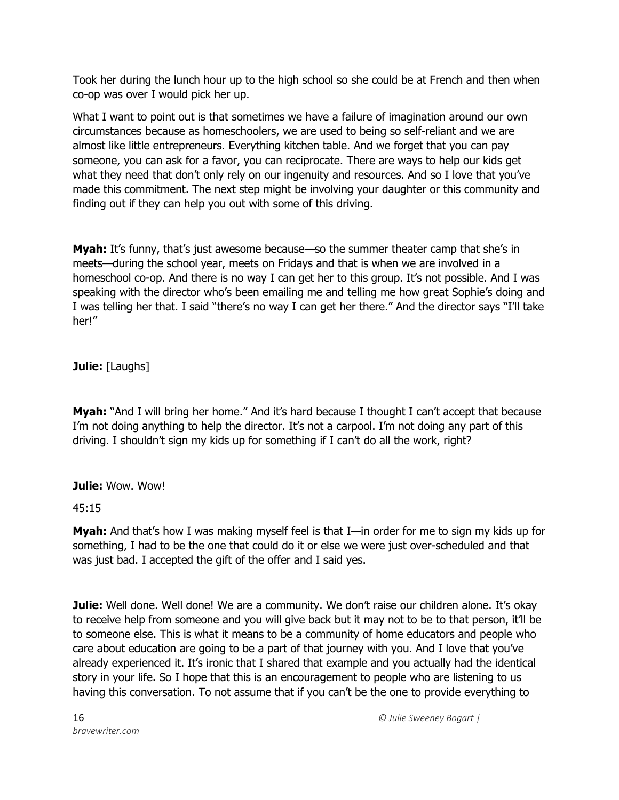Took her during the lunch hour up to the high school so she could be at French and then when co-op was over I would pick her up.

What I want to point out is that sometimes we have a failure of imagination around our own circumstances because as homeschoolers, we are used to being so self-reliant and we are almost like little entrepreneurs. Everything kitchen table. And we forget that you can pay someone, you can ask for a favor, you can reciprocate. There are ways to help our kids get what they need that don't only rely on our ingenuity and resources. And so I love that you've made this commitment. The next step might be involving your daughter or this community and finding out if they can help you out with some of this driving.

**Myah:** It's funny, that's just awesome because—so the summer theater camp that she's in meets—during the school year, meets on Fridays and that is when we are involved in a homeschool co-op. And there is no way I can get her to this group. It's not possible. And I was speaking with the director who's been emailing me and telling me how great Sophie's doing and I was telling her that. I said "there's no way I can get her there." And the director says "I'll take her!"

**Julie:** [Laughs]

**Myah:** "And I will bring her home." And it's hard because I thought I can't accept that because I'm not doing anything to help the director. It's not a carpool. I'm not doing any part of this driving. I shouldn't sign my kids up for something if I can't do all the work, right?

**Julie:** Wow. Wow!

45:15

**Myah:** And that's how I was making myself feel is that I—in order for me to sign my kids up for something, I had to be the one that could do it or else we were just over-scheduled and that was just bad. I accepted the gift of the offer and I said yes.

**Julie:** Well done. Well done! We are a community. We don't raise our children alone. It's okay to receive help from someone and you will give back but it may not to be to that person, it'll be to someone else. This is what it means to be a community of home educators and people who care about education are going to be a part of that journey with you. And I love that you've already experienced it. It's ironic that I shared that example and you actually had the identical story in your life. So I hope that this is an encouragement to people who are listening to us having this conversation. To not assume that if you can't be the one to provide everything to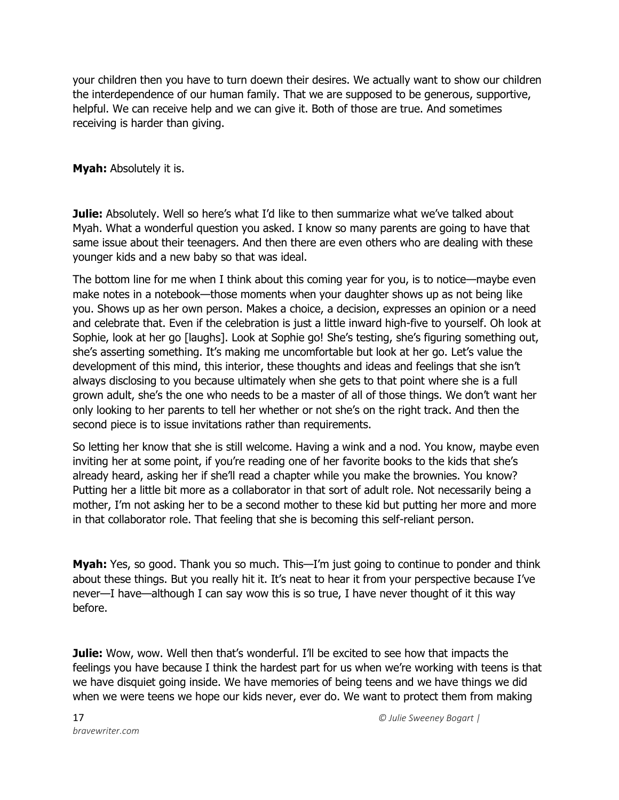your children then you have to turn doewn their desires. We actually want to show our children the interdependence of our human family. That we are supposed to be generous, supportive, helpful. We can receive help and we can give it. Both of those are true. And sometimes receiving is harder than giving.

**Myah:** Absolutely it is.

**Julie:** Absolutely. Well so here's what I'd like to then summarize what we've talked about Myah. What a wonderful question you asked. I know so many parents are going to have that same issue about their teenagers. And then there are even others who are dealing with these younger kids and a new baby so that was ideal.

The bottom line for me when I think about this coming year for you, is to notice—maybe even make notes in a notebook—those moments when your daughter shows up as not being like you. Shows up as her own person. Makes a choice, a decision, expresses an opinion or a need and celebrate that. Even if the celebration is just a little inward high-five to yourself. Oh look at Sophie, look at her go [laughs]. Look at Sophie go! She's testing, she's figuring something out, she's asserting something. It's making me uncomfortable but look at her go. Let's value the development of this mind, this interior, these thoughts and ideas and feelings that she isn't always disclosing to you because ultimately when she gets to that point where she is a full grown adult, she's the one who needs to be a master of all of those things. We don't want her only looking to her parents to tell her whether or not she's on the right track. And then the second piece is to issue invitations rather than requirements.

So letting her know that she is still welcome. Having a wink and a nod. You know, maybe even inviting her at some point, if you're reading one of her favorite books to the kids that she's already heard, asking her if she'll read a chapter while you make the brownies. You know? Putting her a little bit more as a collaborator in that sort of adult role. Not necessarily being a mother, I'm not asking her to be a second mother to these kid but putting her more and more in that collaborator role. That feeling that she is becoming this self-reliant person.

**Myah:** Yes, so good. Thank you so much. This—I'm just going to continue to ponder and think about these things. But you really hit it. It's neat to hear it from your perspective because I've never—I have—although I can say wow this is so true, I have never thought of it this way before.

**Julie:** Wow, wow. Well then that's wonderful. I'll be excited to see how that impacts the feelings you have because I think the hardest part for us when we're working with teens is that we have disquiet going inside. We have memories of being teens and we have things we did when we were teens we hope our kids never, ever do. We want to protect them from making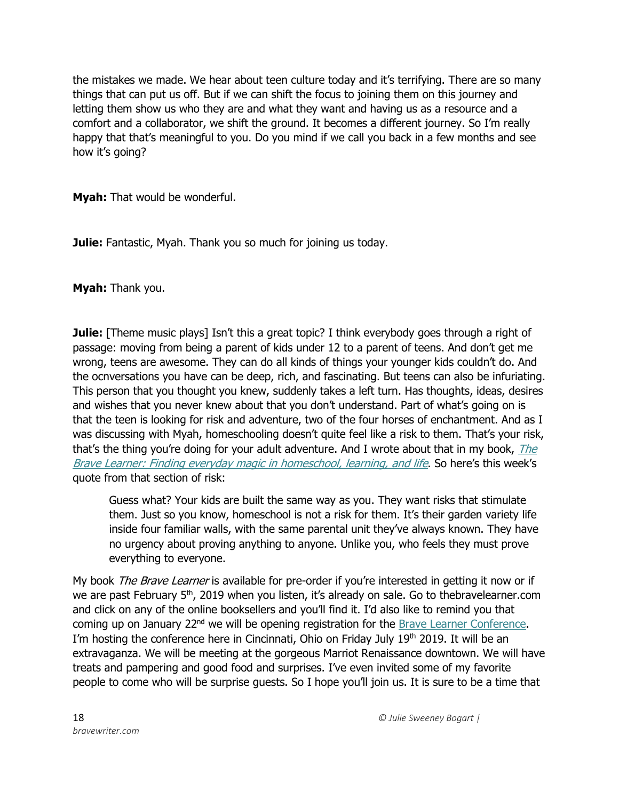the mistakes we made. We hear about teen culture today and it's terrifying. There are so many things that can put us off. But if we can shift the focus to joining them on this journey and letting them show us who they are and what they want and having us as a resource and a comfort and a collaborator, we shift the ground. It becomes a different journey. So I'm really happy that that's meaningful to you. Do you mind if we call you back in a few months and see how it's going?

**Myah:** That would be wonderful.

**Julie:** Fantastic, Myah. Thank you so much for joining us today.

**Myah:** Thank you.

**Julie:** [Theme music plays] Isn't this a great topic? I think everybody goes through a right of passage: moving from being a parent of kids under 12 to a parent of teens. And don't get me wrong, teens are awesome. They can do all kinds of things your younger kids couldn't do. And the ocnversations you have can be deep, rich, and fascinating. But teens can also be infuriating. This person that you thought you knew, suddenly takes a left turn. Has thoughts, ideas, desires and wishes that you never knew about that you don't understand. Part of what's going on is that the teen is looking for risk and adventure, two of the four horses of enchantment. And as I was discussing with Myah, homeschooling doesn't quite feel like a risk to them. That's your risk, that's the thing you're doing for your adult adventure. And I wrote about that in my book,  $The$ [Brave Learner: Finding everyday magic in homeschool, learning, and life](https://thebravelearner.com/). So here's this week's quote from that section of risk:

Guess what? Your kids are built the same way as you. They want risks that stimulate them. Just so you know, homeschool is not a risk for them. It's their garden variety life inside four familiar walls, with the same parental unit they've always known. They have no urgency about proving anything to anyone. Unlike you, who feels they must prove everything to everyone.

My book *The Brave Learner* is available for pre-order if you're interested in getting it now or if we are past February 5<sup>th</sup>, 2019 when you listen, it's already on sale. Go to thebravelearner.com and click on any of the online booksellers and you'll find it. I'd also like to remind you that coming up on January 22<sup>nd</sup> we will be opening registration for the [Brave Learner Conference.](https://thebravelearner.com/conference) I'm hosting the conference here in Cincinnati, Ohio on Friday July 19<sup>th</sup> 2019. It will be an extravaganza. We will be meeting at the gorgeous Marriot Renaissance downtown. We will have treats and pampering and good food and surprises. I've even invited some of my favorite people to come who will be surprise guests. So I hope you'll join us. It is sure to be a time that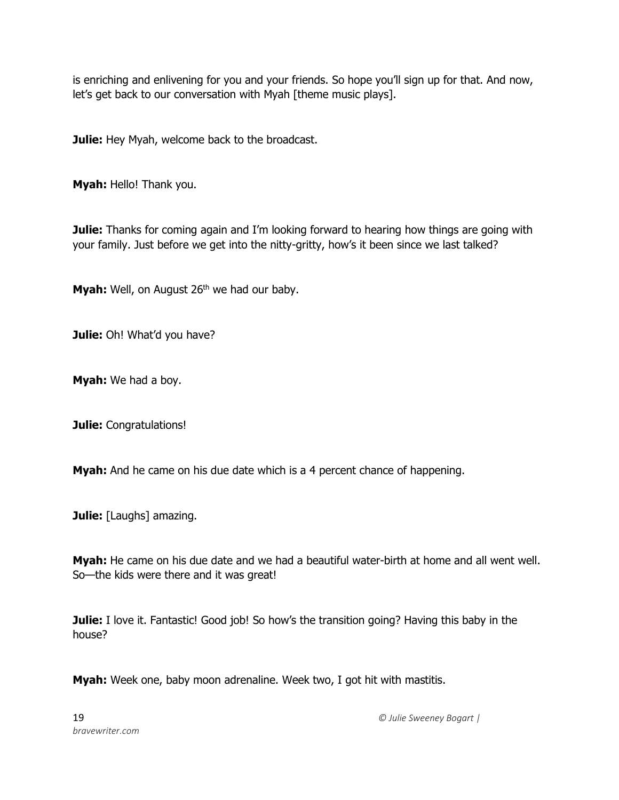is enriching and enlivening for you and your friends. So hope you'll sign up for that. And now, let's get back to our conversation with Myah [theme music plays].

**Julie:** Hey Myah, welcome back to the broadcast.

**Myah:** Hello! Thank you.

**Julie:** Thanks for coming again and I'm looking forward to hearing how things are going with your family. Just before we get into the nitty-gritty, how's it been since we last talked?

Myah: Well, on August 26<sup>th</sup> we had our baby.

**Julie:** Oh! What'd you have?

**Myah:** We had a boy.

**Julie:** Congratulations!

**Myah:** And he came on his due date which is a 4 percent chance of happening.

**Julie:** [Laughs] amazing.

**Myah:** He came on his due date and we had a beautiful water-birth at home and all went well. So—the kids were there and it was great!

**Julie:** I love it. Fantastic! Good job! So how's the transition going? Having this baby in the house?

**Myah:** Week one, baby moon adrenaline. Week two, I got hit with mastitis.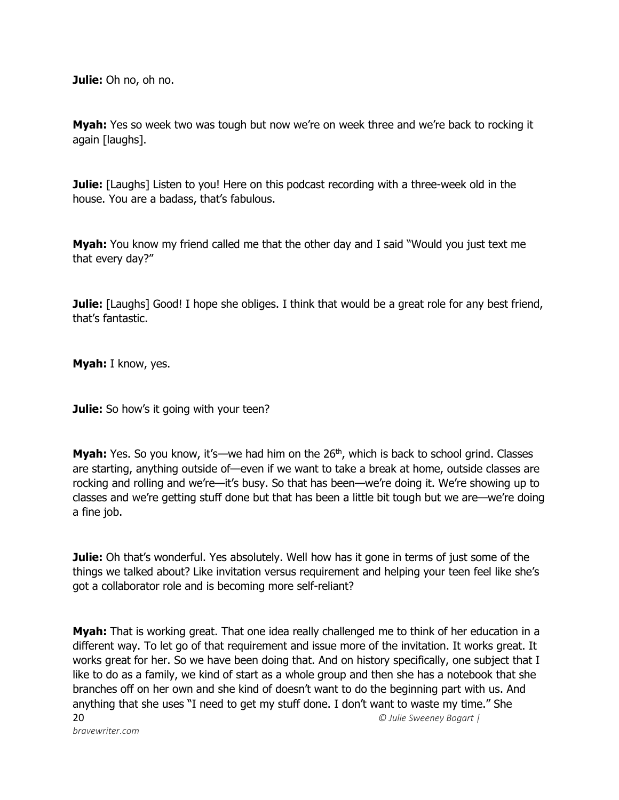**Julie:** Oh no, oh no.

**Myah:** Yes so week two was tough but now we're on week three and we're back to rocking it again [laughs].

**Julie:** [Laughs] Listen to you! Here on this podcast recording with a three-week old in the house. You are a badass, that's fabulous.

**Myah:** You know my friend called me that the other day and I said "Would you just text me that every day?"

**Julie:** [Laughs] Good! I hope she obliges. I think that would be a great role for any best friend, that's fantastic.

**Myah:** I know, yes.

**Julie:** So how's it going with your teen?

**Myah:** Yes. So you know, it's—we had him on the 26<sup>th</sup>, which is back to school grind. Classes are starting, anything outside of—even if we want to take a break at home, outside classes are rocking and rolling and we're—it's busy. So that has been—we're doing it. We're showing up to classes and we're getting stuff done but that has been a little bit tough but we are—we're doing a fine job.

**Julie:** Oh that's wonderful. Yes absolutely. Well how has it gone in terms of just some of the things we talked about? Like invitation versus requirement and helping your teen feel like she's got a collaborator role and is becoming more self-reliant?

20 *© Julie Sweeney Bogart | bravewriter.com* **Myah:** That is working great. That one idea really challenged me to think of her education in a different way. To let go of that requirement and issue more of the invitation. It works great. It works great for her. So we have been doing that. And on history specifically, one subject that I like to do as a family, we kind of start as a whole group and then she has a notebook that she branches off on her own and she kind of doesn't want to do the beginning part with us. And anything that she uses "I need to get my stuff done. I don't want to waste my time." She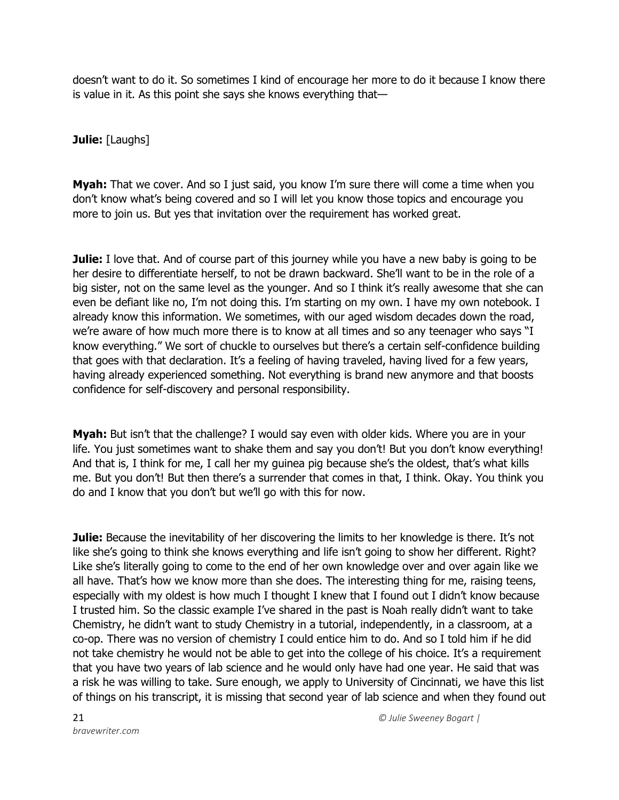doesn't want to do it. So sometimes I kind of encourage her more to do it because I know there is value in it. As this point she says she knows everything that—

**Julie:** [Laughs]

**Myah:** That we cover. And so I just said, you know I'm sure there will come a time when you don't know what's being covered and so I will let you know those topics and encourage you more to join us. But yes that invitation over the requirement has worked great.

**Julie:** I love that. And of course part of this journey while you have a new baby is going to be her desire to differentiate herself, to not be drawn backward. She'll want to be in the role of a big sister, not on the same level as the younger. And so I think it's really awesome that she can even be defiant like no, I'm not doing this. I'm starting on my own. I have my own notebook. I already know this information. We sometimes, with our aged wisdom decades down the road, we're aware of how much more there is to know at all times and so any teenager who says "I know everything." We sort of chuckle to ourselves but there's a certain self-confidence building that goes with that declaration. It's a feeling of having traveled, having lived for a few years, having already experienced something. Not everything is brand new anymore and that boosts confidence for self-discovery and personal responsibility.

**Myah:** But isn't that the challenge? I would say even with older kids. Where you are in your life. You just sometimes want to shake them and say you don't! But you don't know everything! And that is, I think for me, I call her my guinea pig because she's the oldest, that's what kills me. But you don't! But then there's a surrender that comes in that, I think. Okay. You think you do and I know that you don't but we'll go with this for now.

**Julie:** Because the inevitability of her discovering the limits to her knowledge is there. It's not like she's going to think she knows everything and life isn't going to show her different. Right? Like she's literally going to come to the end of her own knowledge over and over again like we all have. That's how we know more than she does. The interesting thing for me, raising teens, especially with my oldest is how much I thought I knew that I found out I didn't know because I trusted him. So the classic example I've shared in the past is Noah really didn't want to take Chemistry, he didn't want to study Chemistry in a tutorial, independently, in a classroom, at a co-op. There was no version of chemistry I could entice him to do. And so I told him if he did not take chemistry he would not be able to get into the college of his choice. It's a requirement that you have two years of lab science and he would only have had one year. He said that was a risk he was willing to take. Sure enough, we apply to University of Cincinnati, we have this list of things on his transcript, it is missing that second year of lab science and when they found out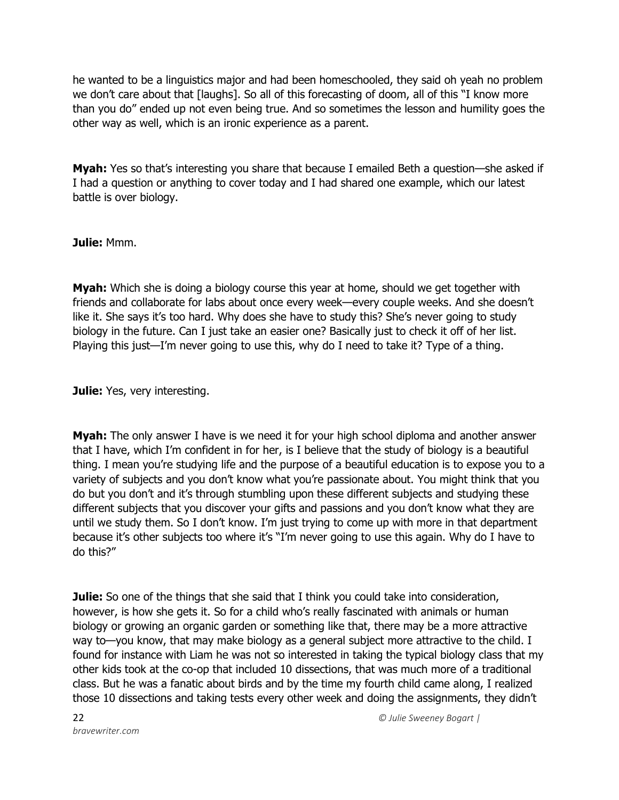he wanted to be a linguistics major and had been homeschooled, they said oh yeah no problem we don't care about that [laughs]. So all of this forecasting of doom, all of this "I know more than you do" ended up not even being true. And so sometimes the lesson and humility goes the other way as well, which is an ironic experience as a parent.

**Myah:** Yes so that's interesting you share that because I emailed Beth a question—she asked if I had a question or anything to cover today and I had shared one example, which our latest battle is over biology.

## **Julie:** Mmm.

**Myah:** Which she is doing a biology course this year at home, should we get together with friends and collaborate for labs about once every week—every couple weeks. And she doesn't like it. She says it's too hard. Why does she have to study this? She's never going to study biology in the future. Can I just take an easier one? Basically just to check it off of her list. Playing this just—I'm never going to use this, why do I need to take it? Type of a thing.

**Julie:** Yes, very interesting.

**Myah:** The only answer I have is we need it for your high school diploma and another answer that I have, which I'm confident in for her, is I believe that the study of biology is a beautiful thing. I mean you're studying life and the purpose of a beautiful education is to expose you to a variety of subjects and you don't know what you're passionate about. You might think that you do but you don't and it's through stumbling upon these different subjects and studying these different subjects that you discover your gifts and passions and you don't know what they are until we study them. So I don't know. I'm just trying to come up with more in that department because it's other subjects too where it's "I'm never going to use this again. Why do I have to do this?"

**Julie:** So one of the things that she said that I think you could take into consideration, however, is how she gets it. So for a child who's really fascinated with animals or human biology or growing an organic garden or something like that, there may be a more attractive way to—you know, that may make biology as a general subject more attractive to the child. I found for instance with Liam he was not so interested in taking the typical biology class that my other kids took at the co-op that included 10 dissections, that was much more of a traditional class. But he was a fanatic about birds and by the time my fourth child came along, I realized those 10 dissections and taking tests every other week and doing the assignments, they didn't

22 *© Julie Sweeney Bogart |*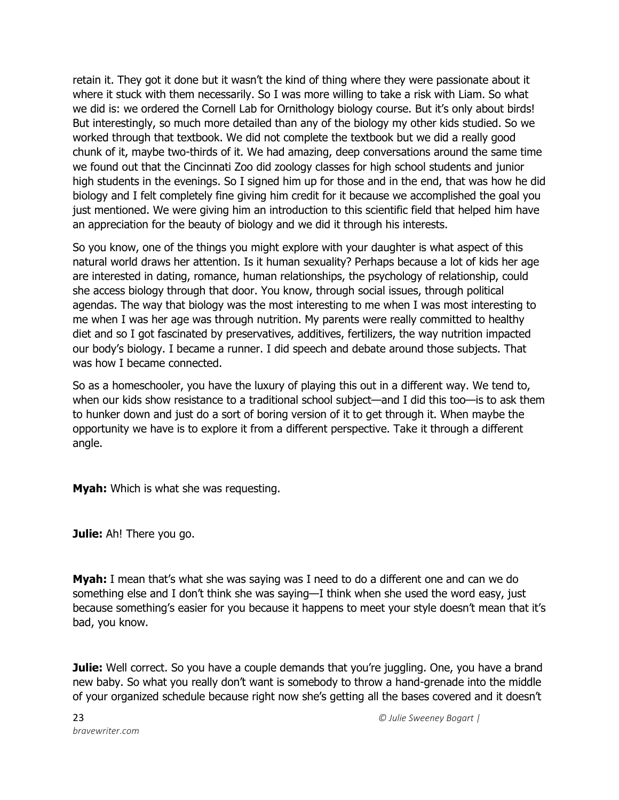retain it. They got it done but it wasn't the kind of thing where they were passionate about it where it stuck with them necessarily. So I was more willing to take a risk with Liam. So what we did is: we ordered the Cornell Lab for Ornithology biology course. But it's only about birds! But interestingly, so much more detailed than any of the biology my other kids studied. So we worked through that textbook. We did not complete the textbook but we did a really good chunk of it, maybe two-thirds of it. We had amazing, deep conversations around the same time we found out that the Cincinnati Zoo did zoology classes for high school students and junior high students in the evenings. So I signed him up for those and in the end, that was how he did biology and I felt completely fine giving him credit for it because we accomplished the goal you just mentioned. We were giving him an introduction to this scientific field that helped him have an appreciation for the beauty of biology and we did it through his interests.

So you know, one of the things you might explore with your daughter is what aspect of this natural world draws her attention. Is it human sexuality? Perhaps because a lot of kids her age are interested in dating, romance, human relationships, the psychology of relationship, could she access biology through that door. You know, through social issues, through political agendas. The way that biology was the most interesting to me when I was most interesting to me when I was her age was through nutrition. My parents were really committed to healthy diet and so I got fascinated by preservatives, additives, fertilizers, the way nutrition impacted our body's biology. I became a runner. I did speech and debate around those subjects. That was how I became connected.

So as a homeschooler, you have the luxury of playing this out in a different way. We tend to, when our kids show resistance to a traditional school subject—and I did this too—is to ask them to hunker down and just do a sort of boring version of it to get through it. When maybe the opportunity we have is to explore it from a different perspective. Take it through a different angle.

**Myah:** Which is what she was requesting.

**Julie:** Ah! There you go.

**Myah:** I mean that's what she was saying was I need to do a different one and can we do something else and I don't think she was saying—I think when she used the word easy, just because something's easier for you because it happens to meet your style doesn't mean that it's bad, you know.

**Julie:** Well correct. So you have a couple demands that you're juggling. One, you have a brand new baby. So what you really don't want is somebody to throw a hand-grenade into the middle of your organized schedule because right now she's getting all the bases covered and it doesn't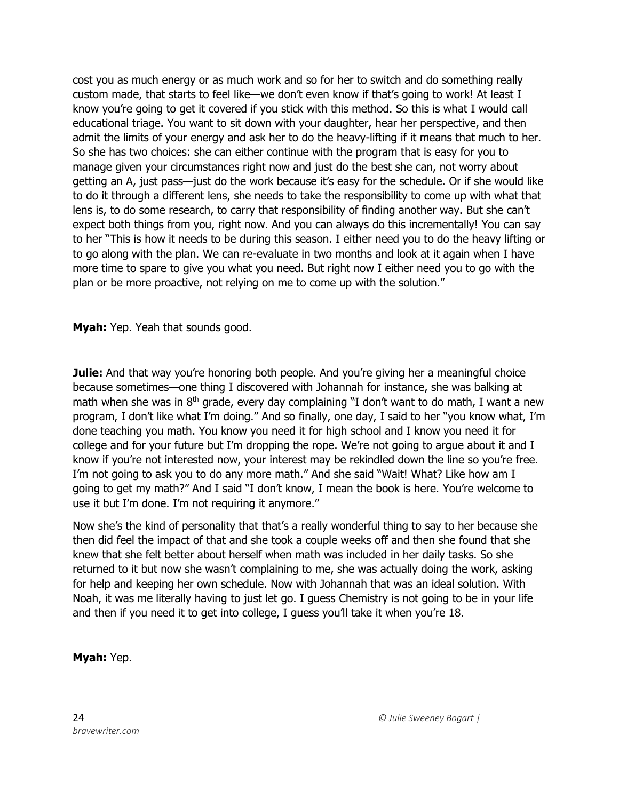cost you as much energy or as much work and so for her to switch and do something really custom made, that starts to feel like—we don't even know if that's going to work! At least I know you're going to get it covered if you stick with this method. So this is what I would call educational triage. You want to sit down with your daughter, hear her perspective, and then admit the limits of your energy and ask her to do the heavy-lifting if it means that much to her. So she has two choices: she can either continue with the program that is easy for you to manage given your circumstances right now and just do the best she can, not worry about getting an A, just pass—just do the work because it's easy for the schedule. Or if she would like to do it through a different lens, she needs to take the responsibility to come up with what that lens is, to do some research, to carry that responsibility of finding another way. But she can't expect both things from you, right now. And you can always do this incrementally! You can say to her "This is how it needs to be during this season. I either need you to do the heavy lifting or to go along with the plan. We can re-evaluate in two months and look at it again when I have more time to spare to give you what you need. But right now I either need you to go with the plan or be more proactive, not relying on me to come up with the solution."

**Myah:** Yep. Yeah that sounds good.

**Julie:** And that way you're honoring both people. And you're giving her a meaningful choice because sometimes—one thing I discovered with Johannah for instance, she was balking at math when she was in  $8<sup>th</sup>$  grade, every day complaining "I don't want to do math, I want a new program, I don't like what I'm doing." And so finally, one day, I said to her "you know what, I'm done teaching you math. You know you need it for high school and I know you need it for college and for your future but I'm dropping the rope. We're not going to argue about it and I know if you're not interested now, your interest may be rekindled down the line so you're free. I'm not going to ask you to do any more math." And she said "Wait! What? Like how am I going to get my math?" And I said "I don't know, I mean the book is here. You're welcome to use it but I'm done. I'm not requiring it anymore."

Now she's the kind of personality that that's a really wonderful thing to say to her because she then did feel the impact of that and she took a couple weeks off and then she found that she knew that she felt better about herself when math was included in her daily tasks. So she returned to it but now she wasn't complaining to me, she was actually doing the work, asking for help and keeping her own schedule. Now with Johannah that was an ideal solution. With Noah, it was me literally having to just let go. I guess Chemistry is not going to be in your life and then if you need it to get into college, I guess you'll take it when you're 18.

## **Myah:** Yep.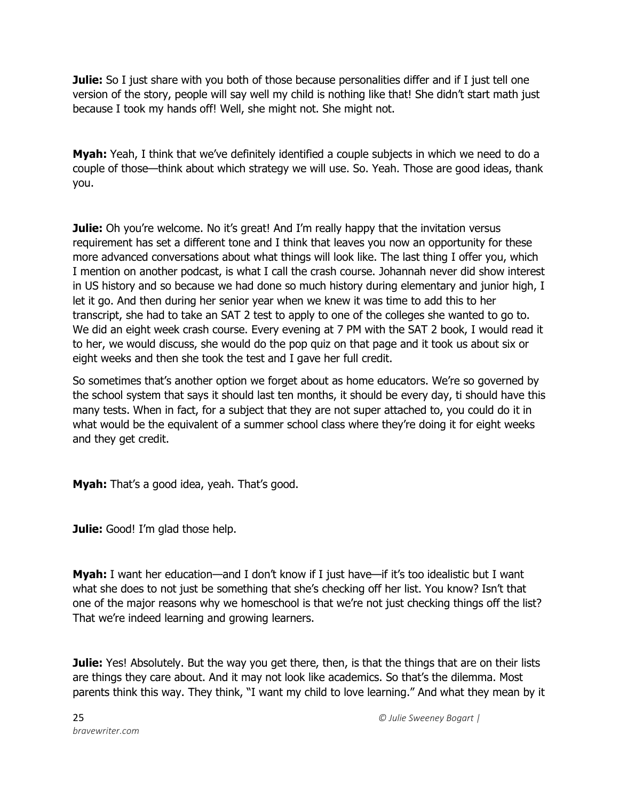**Julie:** So I just share with you both of those because personalities differ and if I just tell one version of the story, people will say well my child is nothing like that! She didn't start math just because I took my hands off! Well, she might not. She might not.

**Myah:** Yeah, I think that we've definitely identified a couple subjects in which we need to do a couple of those—think about which strategy we will use. So. Yeah. Those are good ideas, thank you.

**Julie:** Oh you're welcome. No it's great! And I'm really happy that the invitation versus requirement has set a different tone and I think that leaves you now an opportunity for these more advanced conversations about what things will look like. The last thing I offer you, which I mention on another podcast, is what I call the crash course. Johannah never did show interest in US history and so because we had done so much history during elementary and junior high, I let it go. And then during her senior year when we knew it was time to add this to her transcript, she had to take an SAT 2 test to apply to one of the colleges she wanted to go to. We did an eight week crash course. Every evening at 7 PM with the SAT 2 book, I would read it to her, we would discuss, she would do the pop quiz on that page and it took us about six or eight weeks and then she took the test and I gave her full credit.

So sometimes that's another option we forget about as home educators. We're so governed by the school system that says it should last ten months, it should be every day, ti should have this many tests. When in fact, for a subject that they are not super attached to, you could do it in what would be the equivalent of a summer school class where they're doing it for eight weeks and they get credit.

**Myah:** That's a good idea, yeah. That's good.

**Julie:** Good! I'm glad those help.

**Myah:** I want her education—and I don't know if I just have—if it's too idealistic but I want what she does to not just be something that she's checking off her list. You know? Isn't that one of the major reasons why we homeschool is that we're not just checking things off the list? That we're indeed learning and growing learners.

**Julie:** Yes! Absolutely. But the way you get there, then, is that the things that are on their lists are things they care about. And it may not look like academics. So that's the dilemma. Most parents think this way. They think, "I want my child to love learning." And what they mean by it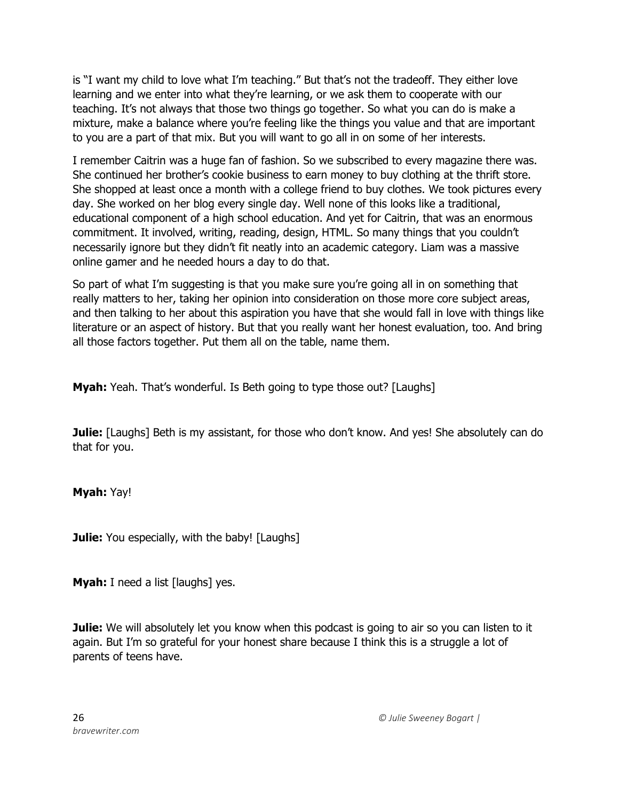is "I want my child to love what I'm teaching." But that's not the tradeoff. They either love learning and we enter into what they're learning, or we ask them to cooperate with our teaching. It's not always that those two things go together. So what you can do is make a mixture, make a balance where you're feeling like the things you value and that are important to you are a part of that mix. But you will want to go all in on some of her interests.

I remember Caitrin was a huge fan of fashion. So we subscribed to every magazine there was. She continued her brother's cookie business to earn money to buy clothing at the thrift store. She shopped at least once a month with a college friend to buy clothes. We took pictures every day. She worked on her blog every single day. Well none of this looks like a traditional, educational component of a high school education. And yet for Caitrin, that was an enormous commitment. It involved, writing, reading, design, HTML. So many things that you couldn't necessarily ignore but they didn't fit neatly into an academic category. Liam was a massive online gamer and he needed hours a day to do that.

So part of what I'm suggesting is that you make sure you're going all in on something that really matters to her, taking her opinion into consideration on those more core subject areas, and then talking to her about this aspiration you have that she would fall in love with things like literature or an aspect of history. But that you really want her honest evaluation, too. And bring all those factors together. Put them all on the table, name them.

**Myah:** Yeah. That's wonderful. Is Beth going to type those out? [Laughs]

**Julie:** [Laughs] Beth is my assistant, for those who don't know. And yes! She absolutely can do that for you.

**Myah:** Yay!

**Julie:** You especially, with the baby! [Laughs]

**Myah:** I need a list [laughs] yes.

**Julie:** We will absolutely let you know when this podcast is going to air so you can listen to it again. But I'm so grateful for your honest share because I think this is a struggle a lot of parents of teens have.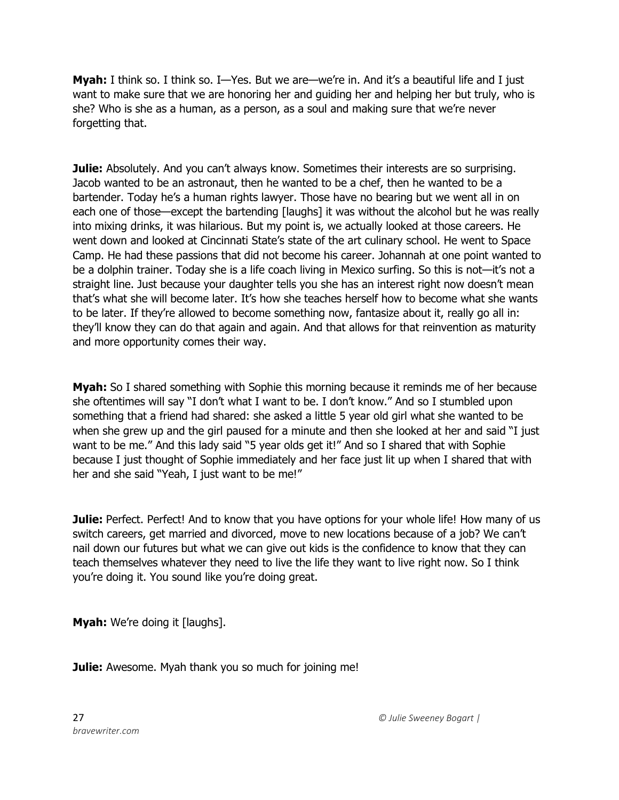**Myah:** I think so. I think so. I—Yes. But we are—we're in. And it's a beautiful life and I just want to make sure that we are honoring her and guiding her and helping her but truly, who is she? Who is she as a human, as a person, as a soul and making sure that we're never forgetting that.

**Julie:** Absolutely. And you can't always know. Sometimes their interests are so surprising. Jacob wanted to be an astronaut, then he wanted to be a chef, then he wanted to be a bartender. Today he's a human rights lawyer. Those have no bearing but we went all in on each one of those—except the bartending [laughs] it was without the alcohol but he was really into mixing drinks, it was hilarious. But my point is, we actually looked at those careers. He went down and looked at Cincinnati State's state of the art culinary school. He went to Space Camp. He had these passions that did not become his career. Johannah at one point wanted to be a dolphin trainer. Today she is a life coach living in Mexico surfing. So this is not—it's not a straight line. Just because your daughter tells you she has an interest right now doesn't mean that's what she will become later. It's how she teaches herself how to become what she wants to be later. If they're allowed to become something now, fantasize about it, really go all in: they'll know they can do that again and again. And that allows for that reinvention as maturity and more opportunity comes their way.

**Myah:** So I shared something with Sophie this morning because it reminds me of her because she oftentimes will say "I don't what I want to be. I don't know." And so I stumbled upon something that a friend had shared: she asked a little 5 year old girl what she wanted to be when she grew up and the girl paused for a minute and then she looked at her and said "I just want to be me." And this lady said "5 year olds get it!" And so I shared that with Sophie because I just thought of Sophie immediately and her face just lit up when I shared that with her and she said "Yeah, I just want to be me!"

**Julie:** Perfect. Perfect! And to know that you have options for your whole life! How many of us switch careers, get married and divorced, move to new locations because of a job? We can't nail down our futures but what we can give out kids is the confidence to know that they can teach themselves whatever they need to live the life they want to live right now. So I think you're doing it. You sound like you're doing great.

**Myah:** We're doing it [laughs].

**Julie:** Awesome. Myah thank you so much for joining me!